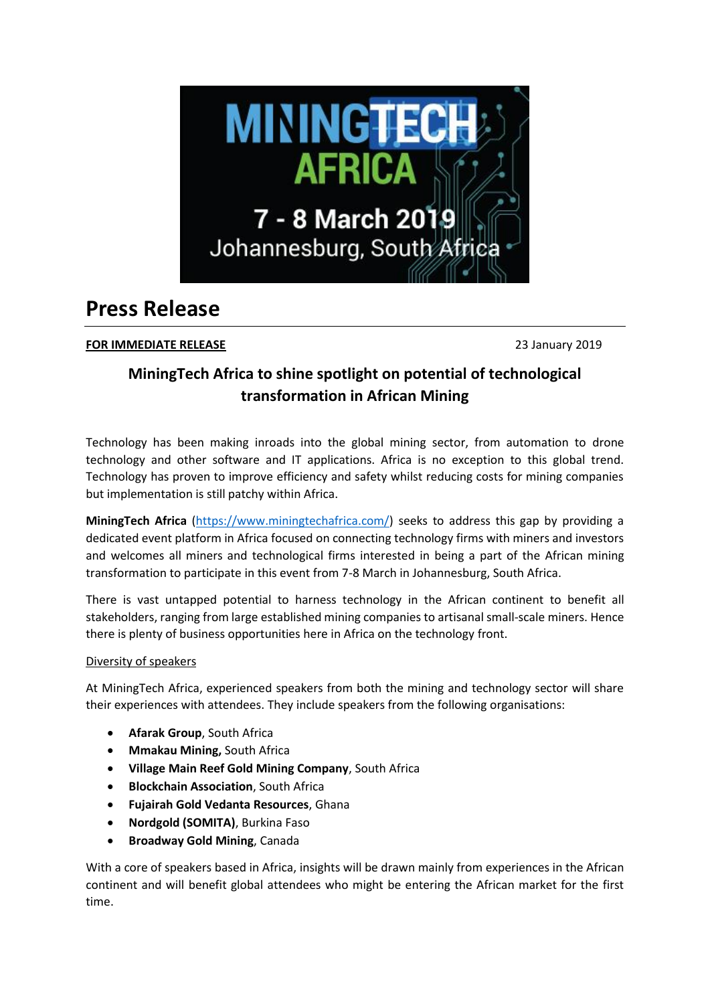

# **Press Release**

# **FOR IMMEDIATE RELEASE** 23 January 2019

# **MiningTech Africa to shine spotlight on potential of technological transformation in African Mining**

Technology has been making inroads into the global mining sector, from automation to drone technology and other software and IT applications. Africa is no exception to this global trend. Technology has proven to improve efficiency and safety whilst reducing costs for mining companies but implementation is still patchy within Africa.

**MiningTech Africa** [\(https://www.miningtechafrica.com/\)](https://www.miningtechafrica.com/) seeks to address this gap by providing a dedicated event platform in Africa focused on connecting technology firms with miners and investors and welcomes all miners and technological firms interested in being a part of the African mining transformation to participate in this event from 7-8 March in Johannesburg, South Africa.

There is vast untapped potential to harness technology in the African continent to benefit all stakeholders, ranging from large established mining companies to artisanal small-scale miners. Hence there is plenty of business opportunities here in Africa on the technology front.

## Diversity of speakers

At MiningTech Africa, experienced speakers from both the mining and technology sector will share their experiences with attendees. They include speakers from the following organisations:

- **Afarak Group**, South Africa
- **Mmakau Mining,** South Africa
- **Village Main Reef Gold Mining Company**, South Africa
- **Blockchain Association**, South Africa
- **Fujairah Gold Vedanta Resources**, Ghana
- **Nordgold (SOMITA)**, Burkina Faso
- **Broadway Gold Mining**, Canada

With a core of speakers based in Africa, insights will be drawn mainly from experiences in the African continent and will benefit global attendees who might be entering the African market for the first time.